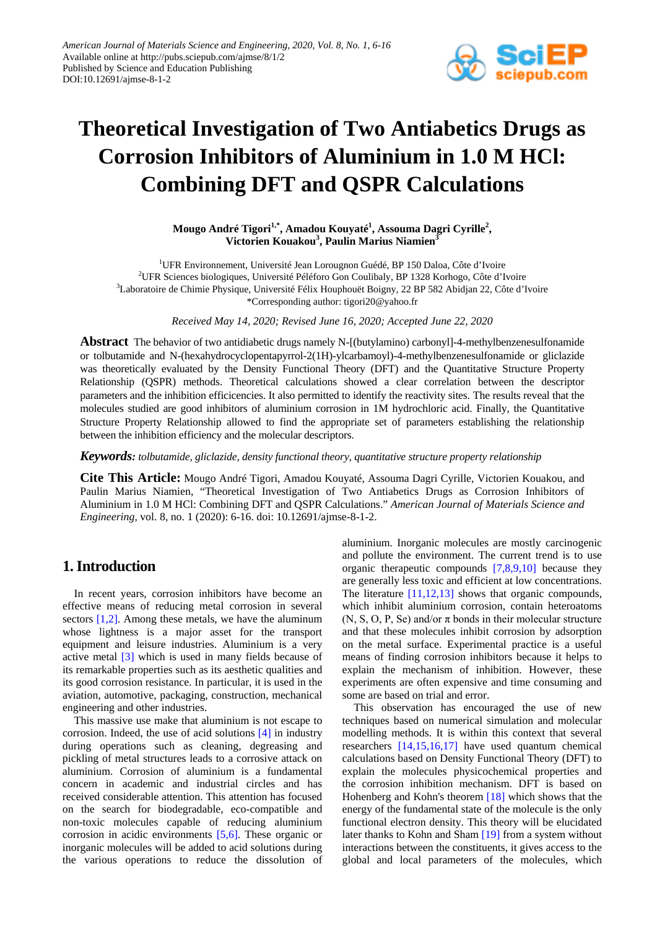

# **Theoretical Investigation of Two Antiabetics Drugs as Corrosion Inhibitors of Aluminium in 1.0 M HCl: Combining DFT and QSPR Calculations**

**Mougo André Tigori1,\* , Amadou Kouyaté1 , Assouma Dagri Cyrille<sup>2</sup> , Victorien Kouakou<sup>3</sup> , Paulin Marius Niamien<sup>3</sup>**

<sup>1</sup>UFR Environnement, Université Jean Lorougnon Guédé, BP 150 Daloa, Côte d'Ivoire 2 UFR Sciences biologiques, Université Péléforo Gon Coulibaly, BP 1328 Korhogo, Côte d'Ivoire <sup>3</sup>Laboratoire de Chimie Physique, Université Félix Houphouët Boigny, 22 BP 582 Abidjan 22, Côte d'Ivoire \*Corresponding author: tigori20@yahoo.fr

*Received May 14, 2020; Revised June 16, 2020; Accepted June 22, 2020*

**Abstract** The behavior of two antidiabetic drugs namely N-[(butylamino) carbonyl]-4-methylbenzenesulfonamide or tolbutamide and N-(hexahydrocyclopentapyrrol-2(1H)-ylcarbamoyl)-4-methylbenzenesulfonamide or gliclazide was theoretically evaluated by the Density Functional Theory (DFT) and the Quantitative Structure Property Relationship (QSPR) methods. Theoretical calculations showed a clear correlation between the descriptor parameters and the inhibition efficicencies. It also permitted to identify the reactivity sites. The results reveal that the molecules studied are good inhibitors of aluminium corrosion in 1M hydrochloric acid. Finally, the Quantitative Structure Property Relationship allowed to find the appropriate set of parameters establishing the relationship between the inhibition efficiency and the molecular descriptors.

*Keywords: tolbutamide, gliclazide, density functional theory, quantitative structure property relationship*

**Cite This Article:** Mougo André Tigori, Amadou Kouyaté, Assouma Dagri Cyrille, Victorien Kouakou, and Paulin Marius Niamien, "Theoretical Investigation of Two Antiabetics Drugs as Corrosion Inhibitors of Aluminium in 1.0 M HCl: Combining DFT and QSPR Calculations." *American Journal of Materials Science and Engineering*, vol. 8, no. 1 (2020): 6-16. doi: 10.12691/ajmse-8-1-2.

## **1. Introduction**

In recent years, corrosion inhibitors have become an effective means of reducing metal corrosion in several sectors [\[1,2\].](#page-9-0) Among these metals, we have the aluminum whose lightness is a major asset for the transport equipment and leisure industries. Aluminium is a very active metal [\[3\]](#page-9-1) which is used in many fields because of its remarkable properties such as its aesthetic qualities and its good corrosion resistance. In particular, it is used in the aviation, automotive, packaging, construction, mechanical engineering and other industries.

This massive use make that aluminium is not escape to corrosion. Indeed, the use of acid solutions [\[4\]](#page-9-2) in industry during operations such as cleaning, degreasing and pickling of metal structures leads to a corrosive attack on aluminium. Corrosion of aluminium is a fundamental concern in academic and industrial circles and has received considerable attention. This attention has focused on the search for biodegradable, eco-compatible and non-toxic molecules capable of reducing aluminium corrosion in acidic environments [\[5,6\].](#page-9-3) These organic or inorganic molecules will be added to acid solutions during the various operations to reduce the dissolution of

aluminium. Inorganic molecules are mostly carcinogenic and pollute the environment. The current trend is to use organic therapeutic compounds [\[7,8,9,10\]](#page-9-4) because they are generally less toxic and efficient at low concentrations. The literature [\[11,12,13\]](#page-9-5) shows that organic compounds, which inhibit aluminium corrosion, contain heteroatoms (N, S, O, P, Se) and/or  $\pi$  bonds in their molecular structure and that these molecules inhibit corrosion by adsorption on the metal surface. Experimental practice is a useful means of finding corrosion inhibitors because it helps to explain the mechanism of inhibition. However, these experiments are often expensive and time consuming and some are based on trial and error.

This observation has encouraged the use of new techniques based on numerical simulation and molecular modelling methods. It is within this context that several researchers [\[14,15,16,17\]](#page-9-6) have used quantum chemical calculations based on Density Functional Theory (DFT) to explain the molecules physicochemical properties and the corrosion inhibition mechanism. DFT is based on Hohenberg and Kohn's theorem [\[18\]](#page-9-7) which shows that the energy of the fundamental state of the molecule is the only functional electron density. This theory will be elucidated later thanks to Kohn and Sha[m \[19\]](#page-9-8) from a system without interactions between the constituents, it gives access to the global and local parameters of the molecules, which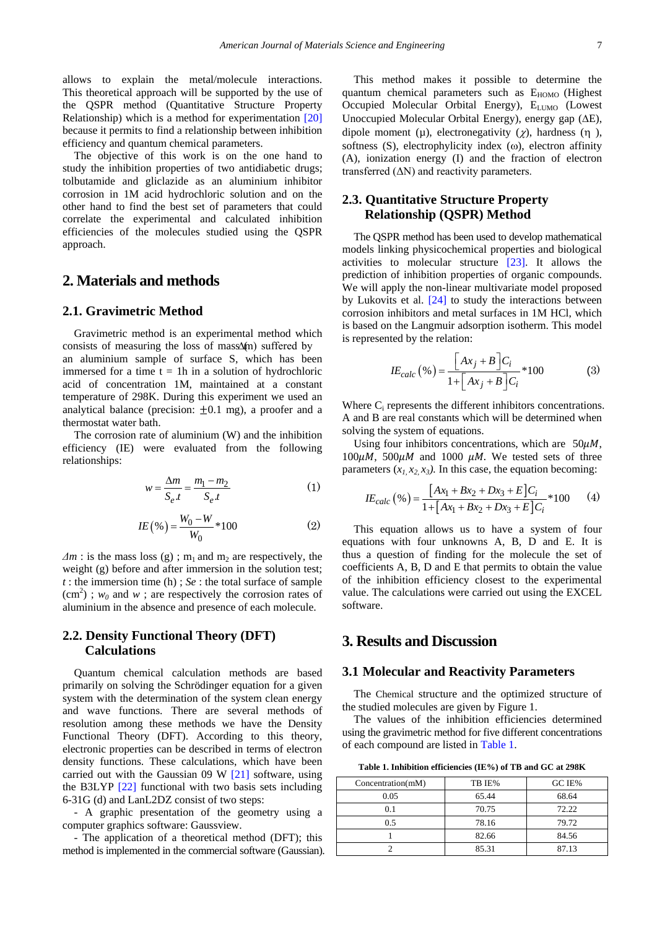allows to explain the metal/molecule interactions. This theoretical approach will be supported by the use of the QSPR method (Quantitative Structure Property Relationship) which is a method for experimentation [\[20\]](#page-9-9) because it permits to find a relationship between inhibition efficiency and quantum chemical parameters.

The objective of this work is on the one hand to study the inhibition properties of two antidiabetic drugs; tolbutamide and gliclazide as an aluminium inhibitor corrosion in 1M acid hydrochloric solution and on the other hand to find the best set of parameters that could correlate the experimental and calculated inhibition efficiencies of the molecules studied using the QSPR approach.

## **2. Materials and methods**

## **2.1. Gravimetric Method**

Gravimetric method is an experimental method which consists of measuring the loss of mass $\Delta$ (m) suffered by an aluminium sample of surface S, which has been immersed for a time  $t = 1h$  in a solution of hydrochloric acid of concentration 1M, maintained at a constant temperature of 298K. During this experiment we used an analytical balance (precision:  $\pm 0.1$  mg), a proofer and a thermostat water bath.

The corrosion rate of aluminium (W) and the inhibition efficiency (IE) were evaluated from the following relationships:

$$
w = \frac{\Delta m}{S_e t} = \frac{m_1 - m_2}{S_e t} \tag{1}
$$

$$
IE\left(\%\right) = \frac{W_0 - W}{W_0} * 100\tag{2}
$$

 $\Delta m$  : is the mass loss (g); m<sub>1</sub> and m<sub>2</sub> are respectively, the weight (g) before and after immersion in the solution test; *t* : the immersion time (h) ; *Se* : the total surface of sample  $(cm<sup>2</sup>)$ ;  $w<sub>0</sub>$  and  $w$ ; are respectively the corrosion rates of aluminium in the absence and presence of each molecule.

## **2.2. Density Functional Theory (DFT) Calculations**

Quantum chemical calculation methods are based primarily on solving the Schrödinger equation for a given system with the determination of the system clean energy and wave functions. There are several methods of resolution among these methods we have the Density Functional Theory (DFT). According to this theory, electronic properties can be described in terms of electron density functions. These calculations, which have been carried out with the Gaussian 09 W [\[21\]](#page-9-10) software, using the B3LYP [\[22\]](#page-10-0) functional with two basis sets including 6-31G (d) and LanL2DZ consist of two steps:

- A graphic presentation of the geometry using a computer graphics software: Gaussview.

- The application of a theoretical method (DFT); this method is implemented in the commercial software (Gaussian).

This method makes it possible to determine the quantum chemical parameters such as  $E_{HOMO}$  (Highest Occupied Molecular Orbital Energy), E<sub>LUMO</sub> (Lowest Unoccupied Molecular Orbital Energy), energy gap (∆E), dipole moment ( $\mu$ ), electronegativity ( $\chi$ ), hardness (η), softness (S), electrophylicity index (ω), electron affinity (A), ionization energy (I) and the fraction of electron transferred  $(ΔN)$  and reactivity parameters.

## **2.3. Quantitative Structure Property Relationship (QSPR) Method**

The QSPR method has been used to develop mathematical models linking physicochemical properties and biological activities to molecular structure [\[23\].](#page-10-1) It allows the prediction of inhibition properties of organic compounds. We will apply the non-linear multivariate model proposed by Lukovits et al. [\[24\]](#page-10-2) to study the interactions between corrosion inhibitors and metal surfaces in 1M HCl, which is based on the Langmuir adsorption isotherm. This model is represented by the relation:

$$
IE_{calc} (\%) = \frac{\left[A x_j + B\right]C_i}{1 + \left[A x_j + B\right]C_i} * 100
$$
 (3)

Where C<sub>i</sub> represents the different inhibitors concentrations. A and B are real constants which will be determined when solving the system of equations.

Using four inhibitors concentrations, which are  $50\mu$ *M*,  $100 \mu$ M,  $500 \mu$ M and  $1000 \mu$ M. We tested sets of three parameters  $(x_1, x_2, x_3)$ . In this case, the equation becoming:

$$
IE_{calc} (\%) = \frac{[Ax_1 + Bx_2 + Dx_3 + E]C_i}{1 + [Ax_1 + Bx_2 + Dx_3 + E]C_i} * 100
$$
 (4)

This equation allows us to have a system of four equations with four unknowns A, B, D and E. It is thus a question of finding for the molecule the set of coefficients A, B, D and E that permits to obtain the value of the inhibition efficiency closest to the experimental value. The calculations were carried out using the EXCEL software.

## **3. Results and Discussion**

#### **3.1 Molecular and Reactivity Parameters**

The Chemical structure and the optimized structure of the studied molecules are given by Figure 1.

The values of the inhibition efficiencies determined using the gravimetric method for five different concentrations of each compound are listed i[n Table 1.](#page-1-0)

**Table 1. Inhibition efficiencies (IE%) of TB and GC at 298K**

<span id="page-1-0"></span>

| Concentration(mM) | TB IE% | GC IE% |
|-------------------|--------|--------|
| 0.05              | 65.44  | 68.64  |
| 0.1               | 70.75  | 72.22  |
| 0.5               | 78.16  | 79.72  |
|                   | 82.66  | 84.56  |
|                   | 85.31  | 87.13  |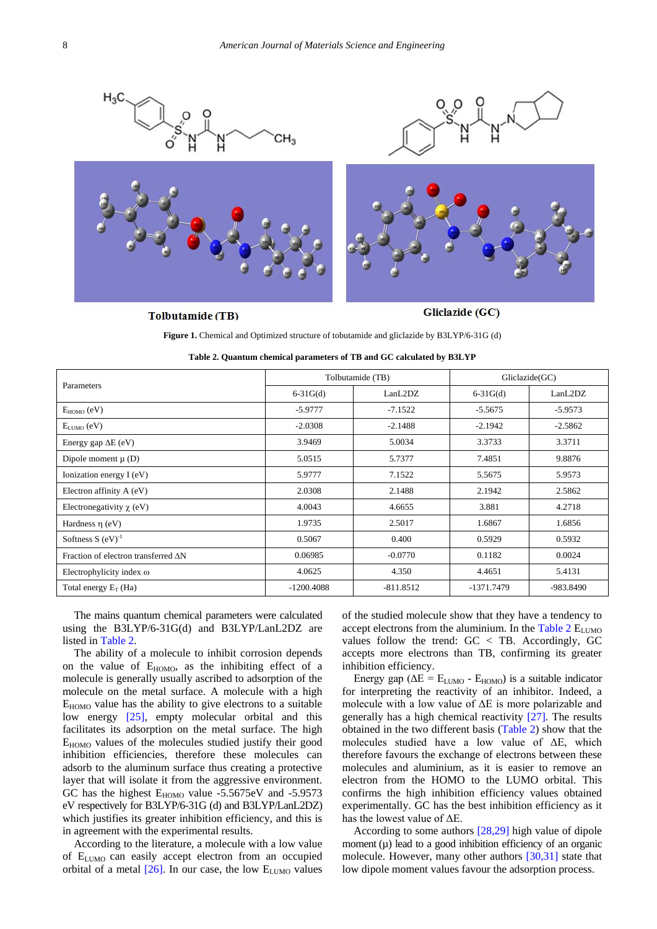

#### **Tolbutamide** (TB)

Gliclazide (GC)

**Figure 1.** Chemical and Optimized structure of tobutamide and gliclazide by B3LYP/6-31G (d)

<span id="page-2-0"></span>

| Parameters                          |                  | Tolbutamide (TB) | Gliclazide(GC) |             |  |
|-------------------------------------|------------------|------------------|----------------|-------------|--|
|                                     | $6-31G(d)$       | LanL2DZ          | $6-31G(d)$     | LanL2DZ     |  |
| $E_{HOMO}$ (eV)                     | $-5.9777$        | $-7.1522$        | $-5.5675$      | $-5.9573$   |  |
| $E_{LUMO}$ (eV)                     | $-2.0308$        | $-2.1488$        | $-2.1942$      | $-2.5862$   |  |
| Energy gap $\Delta E$ (eV)          | 3.9469           | 5.0034           | 3.3733         | 3.3711      |  |
| Dipole moment $\mu$ (D)             | 5.0515           | 5.7377           | 7.4851         | 9.8876      |  |
| Ionization energy I (eV)            | 5.9777<br>7.1522 |                  | 5.5675         | 5.9573      |  |
| Electron affinity A (eV)            | 2.0308           | 2.1488           | 2.1942         | 2.5862      |  |
| Electronegativity $\chi$ (eV)       | 4.0043           | 4.6655           | 3.881          | 4.2718      |  |
| Hardness $\eta$ (eV)                | 1.9735           | 2.5017           | 1.6867         | 1.6856      |  |
| Softness $S(eV)^{-1}$               | 0.5067           | 0.400            | 0.5929         | 0.5932      |  |
| Fraction of electron transferred AN | 0.06985          | $-0.0770$        | 0.1182         | 0.0024      |  |
| Electrophylicity index $\omega$     | 4.0625           | 4.350            | 4.4651         | 5.4131      |  |
| Total energy $E_T$ (Ha)             | $-1200.4088$     | $-811.8512$      | -1371.7479     | $-983.8490$ |  |

| Table 2. Quantum chemical parameters of TB and GC calculated by B3LYP |  |  |
|-----------------------------------------------------------------------|--|--|
|-----------------------------------------------------------------------|--|--|

The mains quantum chemical parameters were calculated using the B3LYP/6-31G(d) and B3LYP/LanL2DZ are listed in [Table 2.](#page-2-0)

The ability of a molecule to inhibit corrosion depends on the value of  $E_{HOMO}$ , as the inhibiting effect of a molecule is generally usually ascribed to adsorption of the molecule on the metal surface. A molecule with a high  $E_{HOMO}$  value has the ability to give electrons to a suitable low energy [\[25\],](#page-10-3) empty molecular orbital and this facilitates its adsorption on the metal surface. The high EHOMO values of the molecules studied justify their good inhibition efficiencies, therefore these molecules can adsorb to the aluminum surface thus creating a protective layer that will isolate it from the aggressive environment. GC has the highest  $E_{HOMO}$  value -5.5675eV and -5.9573 eV respectively for B3LYP/6-31G (d) and B3LYP/LanL2DZ) which justifies its greater inhibition efficiency, and this is in agreement with the experimental results.

According to the literature, a molecule with a low value of  $E_{LUMO}$  can easily accept electron from an occupied orbital of a metal  $[26]$ . In our case, the low  $E_{LUMO}$  values of the studied molecule show that they have a tendency to accept electrons from the aluminium. In the Table  $2 E_{LUMO}$ values follow the trend: GC < TB. Accordingly, GC accepts more electrons than TB, confirming its greater inhibition efficiency.

Energy gap ( $\Delta E = E_{LUMO}$  -  $E_{HOMO}$ ) is a suitable indicator for interpreting the reactivity of an inhibitor. Indeed, a molecule with a low value of ΔE is more polarizable and generally has a high chemical reactivity [\[27\].](#page-10-5) The results obtained in the two different basis [\(Table 2\)](#page-2-0) show that the molecules studied have a low value of ΔE, which therefore favours the exchange of electrons between these molecules and aluminium, as it is easier to remove an electron from the HOMO to the LUMO orbital. This confirms the high inhibition efficiency values obtained experimentally. GC has the best inhibition efficiency as it has the lowest value of ΔE.

According to some authors [\[28,29\]](#page-10-6) high value of dipole moment  $(\mu)$  lead to a good inhibition efficiency of an organic molecule. However, many other authors [\[30,31\]](#page-10-7) state that low dipole moment values favour the adsorption process.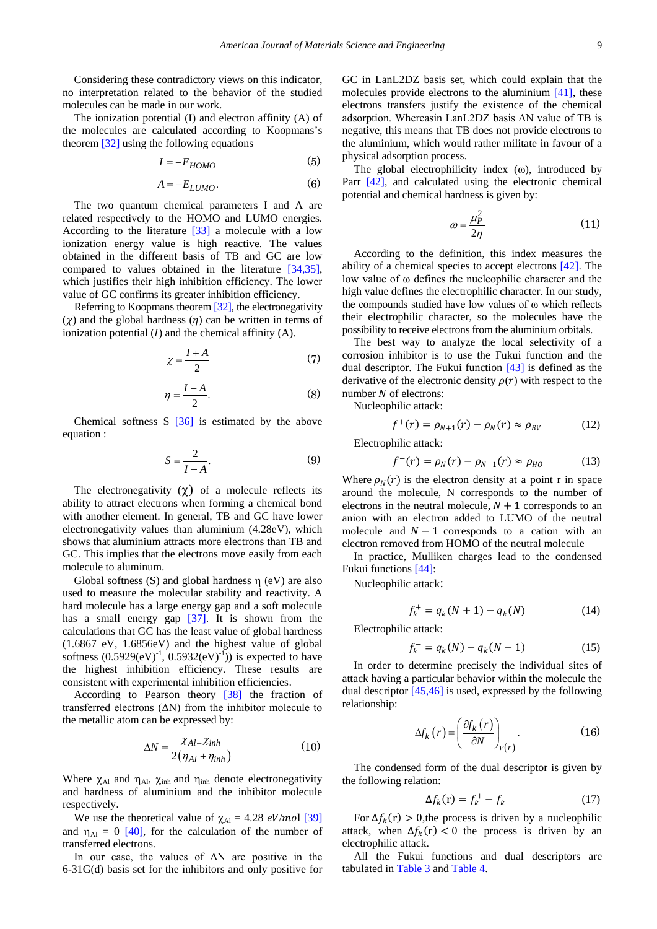Considering these contradictory views on this indicator, no interpretation related to the behavior of the studied molecules can be made in our work.

The ionization potential (I) and electron affinity (A) of the molecules are calculated according to Koopmans's theorem [\[32\]](#page-10-8) using the following equations

$$
I = -E_{HOMO} \tag{5}
$$

$$
A = -E_{LUMO}.\tag{6}
$$

The two quantum chemical parameters I and A are related respectively to the HOMO and LUMO energies. According to the literature [\[33\]](#page-10-9) a molecule with a low ionization energy value is high reactive. The values obtained in the different basis of TB and GC are low compared to values obtained in the literature [\[34,35\],](#page-10-10) which justifies their high inhibition efficiency. The lower value of GC confirms its greater inhibition efficiency.

Referring to Koopmans theorem [\[32\],](#page-10-8) the electronegativity  $(y)$  and the global hardness  $(\eta)$  can be written in terms of ionization potential  $(I)$  and the chemical affinity  $(A)$ .

$$
\chi = \frac{I + A}{2} \tag{7}
$$

$$
\eta = \frac{I - A}{2}.\tag{8}
$$

Chemical softness S [\[36\]](#page-10-11) is estimated by the above equation :

$$
S = \frac{2}{I - A}.\tag{9}
$$

The electronegativity  $(\gamma)$  of a molecule reflects its ability to attract electrons when forming a chemical bond with another element. In general, TB and GC have lower electronegativity values than aluminium (4.28eV), which shows that aluminium attracts more electrons than TB and GC. This implies that the electrons move easily from each molecule to aluminum.

Global softness (S) and global hardness  $\eta$  (eV) are also used to measure the molecular stability and reactivity. A hard molecule has a large energy gap and a soft molecule has a small energy gap [\[37\].](#page-10-12) It is shown from the calculations that GC has the least value of global hardness (1.6867 eV, 1.6856eV) and the highest value of global softness  $(0.5929(eV)^{-1}, 0.5932(eV)^{-1})$  is expected to have the highest inhibition efficiency. These results are consistent with experimental inhibition efficiencies.

According to Pearson theory [\[38\]](#page-10-13) the fraction of transferred electrons  $(ΔN)$  from the inhibitor molecule to the metallic atom can be expressed by:

$$
\Delta N = \frac{\chi_{Al} - \chi_{inh}}{2(\eta_{Al} + \eta_{inh})}
$$
(10)

Where  $\chi_{A1}$  and  $\eta_{A1}$ ,  $\chi_{inh}$  and  $\eta_{inh}$  denote electronegativity and hardness of aluminium and the inhibitor molecule respectively.

We use the theoretical value of  $\chi_{Al} = 4.28 \text{ eV/mol}$  [\[39\]](#page-10-14) and  $\eta_{Al} = 0$  [\[40\],](#page-10-15) for the calculation of the number of transferred electrons.

In our case, the values of  $\Delta N$  are positive in the 6-31G(d) basis set for the inhibitors and only positive for GC in LanL2DZ basis set, which could explain that the molecules provide electrons to the aluminium [\[41\],](#page-10-16) these electrons transfers justify the existence of the chemical adsorption. Whereasin LanL2DZ basis ΔN value of TB is negative, this means that TB does not provide electrons to the aluminium, which would rather militate in favour of a physical adsorption process.

The global electrophilicity index  $(\omega)$ , introduced by Parr [\[42\],](#page-10-17) and calculated using the electronic chemical potential and chemical hardness is given by:

$$
\omega = \frac{\mu_P^2}{2\eta} \tag{11}
$$

According to the definition, this index measures the ability of a chemical species to accept electrons [\[42\].](#page-10-17) The low value of ω defines the nucleophilic character and the high value defines the electrophilic character. In our study, the compounds studied have low values of ω which reflects their electrophilic character, so the molecules have the possibility to receive electrons from the aluminium orbitals.

The best way to analyze the local selectivity of a corrosion inhibitor is to use the Fukui function and the dual descriptor. The Fukui function [\[43\]](#page-10-18) is defined as the derivative of the electronic density  $\rho(r)$  with respect to the number  $N$  of electrons:

Nucleophilic attack:

$$
f^{+}(r) = \rho_{N+1}(r) - \rho_{N}(r) \approx \rho_{BV}
$$
 (12)

Electrophilic attack:

$$
f^-(r) = \rho_N(r) - \rho_{N-1}(r) \approx \rho_{HO} \tag{13}
$$

Where  $\rho_N(r)$  is the electron density at a point r in space around the molecule, N corresponds to the number of electrons in the neutral molecule,  $N + 1$  corresponds to an anion with an electron added to LUMO of the neutral molecule and  $N - 1$  corresponds to a cation with an electron removed from HOMO of the neutral molecule

In practice, Mulliken charges lead to the condensed Fukui functions [\[44\]:](#page-10-19)

Nucleophilic attack:

$$
f_k^+ = q_k(N+1) - q_k(N) \tag{14}
$$

Electrophilic attack:

$$
f_k^- = q_k(N) - q_k(N-1)
$$
 (15)

In order to determine precisely the individual sites of attack having a particular behavior within the molecule the dual descripto[r \[45,46\]](#page-10-20) is used, expressed by the following relationship:

$$
\Delta f_k(r) = \left(\frac{\partial f_k(r)}{\partial N}\right)_{V(r)}.\tag{16}
$$

The condensed form of the dual descriptor is given by the following relation:

$$
\Delta f_k(\mathbf{r}) = f_k^+ - f_k^- \tag{17}
$$

For  $\Delta f_k(r) > 0$ , the process is driven by a nucleophilic attack, when  $\Delta f_k(r) < 0$  the process is driven by an electrophilic attack.

All the Fukui functions and dual descriptors are tabulated i[n Table 3](#page-4-0) and [Table 4.](#page-4-1)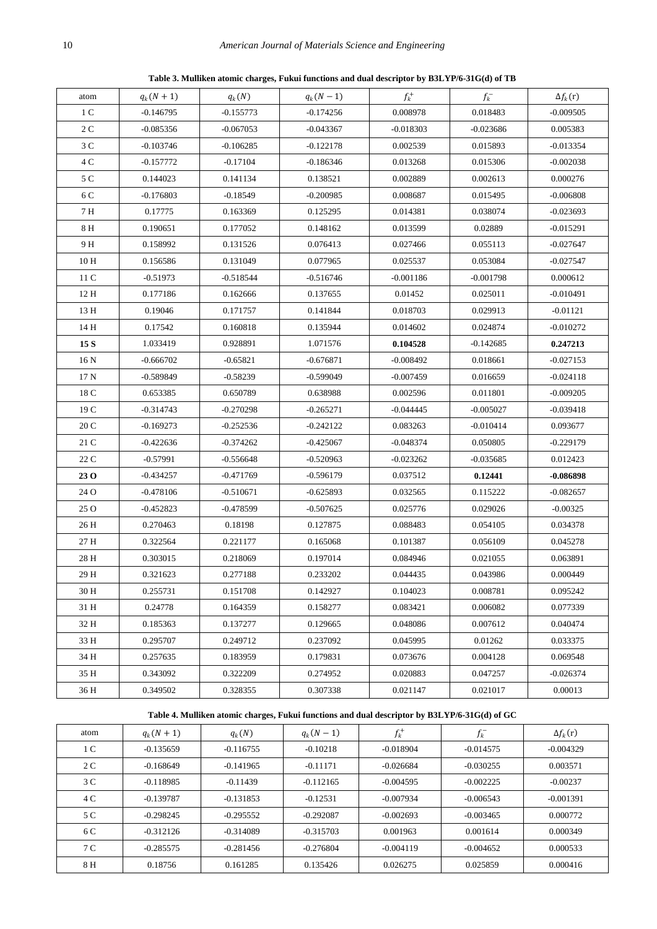**Table 3. Mulliken atomic charges, Fukui functions and dual descriptor by B3LYP/6-31G(d) of TB**

<span id="page-4-0"></span>

| atom | $q_k(N + 1)$ | $q_k(N)$    | $q_k(N-1)$  | $f_k^+$     | $f_k^-$     | $\Delta f_k(r)$ |
|------|--------------|-------------|-------------|-------------|-------------|-----------------|
| 1 C  | $-0.146795$  | $-0.155773$ | $-0.174256$ | 0.008978    | 0.018483    | $-0.009505$     |
| 2 C  | $-0.085356$  | $-0.067053$ | $-0.043367$ | $-0.018303$ | $-0.023686$ | 0.005383        |
| 3 C  | $-0.103746$  | $-0.106285$ | $-0.122178$ | 0.002539    | 0.015893    | $-0.013354$     |
| 4 C  | -0.157772    | $-0.17104$  | -0.186346   | 0.013268    | 0.015306    | $-0.002038$     |
| 5 C  | 0.144023     | 0.141134    | 0.138521    | 0.002889    | 0.002613    | 0.000276        |
| 6 C  | $-0.176803$  | $-0.18549$  | $-0.200985$ | 0.008687    | 0.015495    | $-0.006808$     |
| 7 H  | 0.17775      | 0.163369    | 0.125295    | 0.014381    | 0.038074    | $-0.023693$     |
| 8 H  | 0.190651     | 0.177052    | 0.148162    | 0.013599    | 0.02889     | $-0.015291$     |
| 9 H  | 0.158992     | 0.131526    | 0.076413    | 0.027466    | 0.055113    | $-0.027647$     |
| 10 H | 0.156586     | 0.131049    | 0.077965    | 0.025537    | 0.053084    | $-0.027547$     |
| 11 C | $-0.51973$   | $-0.518544$ | $-0.516746$ | $-0.001186$ | $-0.001798$ | 0.000612        |
| 12 H | 0.177186     | 0.162666    | 0.137655    | 0.01452     | 0.025011    | $-0.010491$     |
| 13 H | 0.19046      | 0.171757    | 0.141844    | 0.018703    | 0.029913    | $-0.01121$      |
| 14 H | 0.17542      | 0.160818    | 0.135944    | 0.014602    | 0.024874    | $-0.010272$     |
| 15 S | 1.033419     | 0.928891    | 1.071576    | 0.104528    | $-0.142685$ | 0.247213        |
| 16 N | $-0.666702$  | $-0.65821$  | $-0.676871$ | $-0.008492$ | 0.018661    | $-0.027153$     |
| 17 N | $-0.589849$  | $-0.58239$  | $-0.599049$ | $-0.007459$ | 0.016659    | $-0.024118$     |
| 18 C | 0.653385     | 0.650789    | 0.638988    | 0.002596    | 0.011801    | $-0.009205$     |
| 19 C | -0.314743    | $-0.270298$ | $-0.265271$ | $-0.044445$ | $-0.005027$ | $-0.039418$     |
| 20 C | $-0.169273$  | $-0.252536$ | $-0.242122$ | 0.083263    | $-0.010414$ | 0.093677        |
| 21 C | -0.422636    | $-0.374262$ | $-0.425067$ | -0.048374   | 0.050805    | $-0.229179$     |
| 22 C | $-0.57991$   | $-0.556648$ | $-0.520963$ | $-0.023262$ | $-0.035685$ | 0.012423        |
| 23 O | -0.434257    | $-0.471769$ | $-0.596179$ | 0.037512    | 0.12441     | -0.086898       |
| 24 O | $-0.478106$  | $-0.510671$ | $-0.625893$ | 0.032565    | 0.115222    | $-0.082657$     |
| 25 O | -0.452823    | $-0.478599$ | $-0.507625$ | 0.025776    | 0.029026    | $-0.00325$      |
| 26 H | 0.270463     | 0.18198     | 0.127875    | 0.088483    | 0.054105    | 0.034378        |
| 27 H | 0.322564     | 0.221177    | 0.165068    | 0.101387    | 0.056109    | 0.045278        |
| 28 H | 0.303015     | 0.218069    | 0.197014    | 0.084946    | 0.021055    | 0.063891        |
| 29 H | 0.321623     | 0.277188    | 0.233202    | 0.044435    | 0.043986    | 0.000449        |
| 30 H | 0.255731     | 0.151708    | 0.142927    | 0.104023    | 0.008781    | 0.095242        |
| 31 H | 0.24778      | 0.164359    | 0.158277    | 0.083421    | 0.006082    | 0.077339        |
| 32 H | 0.185363     | 0.137277    | 0.129665    | 0.048086    | 0.007612    | 0.040474        |
| 33 H | 0.295707     | 0.249712    | 0.237092    | 0.045995    | 0.01262     | 0.033375        |
| 34 H | 0.257635     | 0.183959    | 0.179831    | 0.073676    | 0.004128    | 0.069548        |
| 35 H | 0.343092     | 0.322209    | 0.274952    | 0.020883    | 0.047257    | $-0.026374$     |
| 36 H | 0.349502     | 0.328355    | 0.307338    | 0.021147    | 0.021017    | 0.00013         |
|      |              |             |             |             |             |                 |

### **Table 4. Mulliken atomic charges, Fukui functions and dual descriptor by B3LYP/6-31G(d) of GC**

<span id="page-4-1"></span>

| atom | $q_k(N + 1)$ | $q_k(N)$    | $q_k(N-1)$  | $f_k^+$     | $f_k^-$     | $\Delta f_k(r)$ |
|------|--------------|-------------|-------------|-------------|-------------|-----------------|
| 1 C  | $-0.135659$  | $-0.116755$ | $-0.10218$  | $-0.018904$ | $-0.014575$ | $-0.004329$     |
| 2 C  | $-0.168649$  | $-0.141965$ | $-0.11171$  | $-0.026684$ | $-0.030255$ | 0.003571        |
| 3 C  | $-0.118985$  | $-0.11439$  | $-0.112165$ | $-0.004595$ | $-0.002225$ | $-0.00237$      |
| 4 C  | $-0.139787$  | $-0.131853$ | $-0.12531$  | $-0.007934$ | $-0.006543$ | $-0.001391$     |
| 5 C  | $-0.298245$  | $-0.295552$ | $-0.292087$ | $-0.002693$ | $-0.003465$ | 0.000772        |
| 6 C  | $-0.312126$  | $-0.314089$ | $-0.315703$ | 0.001963    | 0.001614    | 0.000349        |
| 7 C  | $-0.285575$  | $-0.281456$ | $-0.276804$ | $-0.004119$ | $-0.004652$ | 0.000533        |
| 8 H  | 0.18756      | 0.161285    | 0.135426    | 0.026275    | 0.025859    | 0.000416        |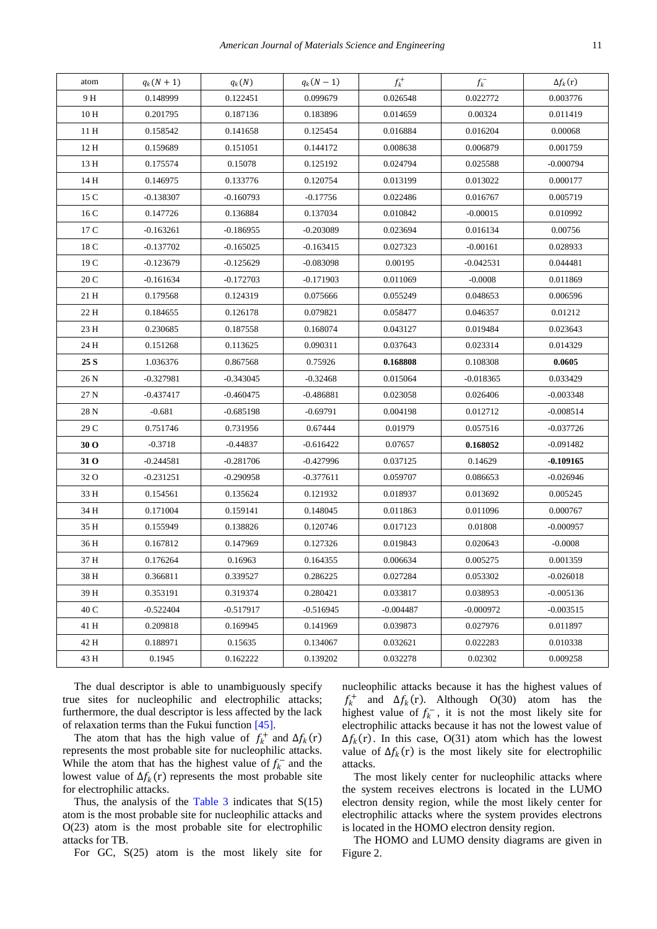| atom | $q_k(N + 1)$ | $q_k(N)$    | $q_k(N-1)$  | $f_k^+$     | $f_k^-$     | $\Delta f_k(r)$ |
|------|--------------|-------------|-------------|-------------|-------------|-----------------|
| 9 H  | 0.148999     | 0.122451    | 0.099679    | 0.026548    | 0.022772    | 0.003776        |
| 10 H | 0.201795     | 0.187136    | 0.183896    | 0.014659    | 0.00324     | 0.011419        |
| 11 H | 0.158542     | 0.141658    | 0.125454    | 0.016884    | 0.016204    | 0.00068         |
| 12 H | 0.159689     | 0.151051    | 0.144172    | 0.008638    | 0.006879    | 0.001759        |
| 13 H | 0.175574     | 0.15078     | 0.125192    | 0.024794    | 0.025588    | $-0.000794$     |
| 14 H | 0.146975     | 0.133776    | 0.120754    | 0.013199    | 0.013022    | 0.000177        |
| 15 C | $-0.138307$  | $-0.160793$ | $-0.17756$  | 0.022486    | 0.016767    | 0.005719        |
| 16 C | 0.147726     | 0.136884    | 0.137034    | 0.010842    | $-0.00015$  | 0.010992        |
| 17 C | $-0.163261$  | $-0.186955$ | $-0.203089$ | 0.023694    | 0.016134    | 0.00756         |
| 18 C | $-0.137702$  | $-0.165025$ | $-0.163415$ | 0.027323    | $-0.00161$  | 0.028933        |
| 19 C | $-0.123679$  | $-0.125629$ | $-0.083098$ | 0.00195     | $-0.042531$ | 0.044481        |
| 20 C | $-0.161634$  | $-0.172703$ | $-0.171903$ | 0.011069    | $-0.0008$   | 0.011869        |
| 21 H | 0.179568     | 0.124319    | 0.075666    | 0.055249    | 0.048653    | 0.006596        |
| 22 H | 0.184655     | 0.126178    | 0.079821    | 0.058477    | 0.046357    | 0.01212         |
| 23 H | 0.230685     | 0.187558    | 0.168074    | 0.043127    | 0.019484    | 0.023643        |
| 24 H | 0.151268     | 0.113625    | 0.090311    | 0.037643    | 0.023314    | 0.014329        |
| 25 S | 1.036376     | 0.867568    | 0.75926     | 0.168808    | 0.108308    | 0.0605          |
| 26 N | $-0.327981$  | $-0.343045$ | $-0.32468$  | 0.015064    | $-0.018365$ | 0.033429        |
| 27 N | $-0.437417$  | $-0.460475$ | $-0.486881$ | 0.023058    | 0.026406    | $-0.003348$     |
| 28 N | $-0.681$     | $-0.685198$ | $-0.69791$  | 0.004198    | 0.012712    | $-0.008514$     |
| 29 C | 0.751746     | 0.731956    | 0.67444     | 0.01979     | 0.057516    | $-0.037726$     |
| 30 O | $-0.3718$    | $-0.44837$  | $-0.616422$ | 0.07657     | 0.168052    | $-0.091482$     |
| 31 O | $-0.244581$  | $-0.281706$ | $-0.427996$ | 0.037125    | 0.14629     | $-0.109165$     |
| 32 O | $-0.231251$  | $-0.290958$ | $-0.377611$ | 0.059707    | 0.086653    | $-0.026946$     |
| 33 H | 0.154561     | 0.135624    | 0.121932    | 0.018937    | 0.013692    | 0.005245        |
| 34 H | 0.171004     | 0.159141    | 0.148045    | 0.011863    | 0.011096    | 0.000767        |
| 35 H | 0.155949     | 0.138826    | 0.120746    | 0.017123    | 0.01808     | $-0.000957$     |
| 36 H | 0.167812     | 0.147969    | 0.127326    | 0.019843    | 0.020643    | $-0.0008$       |
| 37 H | 0.176264     | 0.16963     | 0.164355    | 0.006634    | 0.005275    | 0.001359        |
| 38 H | 0.366811     | 0.339527    | 0.286225    | 0.027284    | 0.053302    | $-0.026018$     |
| 39 H | 0.353191     | 0.319374    | 0.280421    | 0.033817    | 0.038953    | $-0.005136$     |
| 40 C | $-0.522404$  | $-0.517917$ | $-0.516945$ | $-0.004487$ | $-0.000972$ | $-0.003515$     |
| 41 H | 0.209818     | 0.169945    | 0.141969    | 0.039873    | 0.027976    | 0.011897        |
| 42 H | 0.188971     | 0.15635     | 0.134067    | 0.032621    | 0.022283    | 0.010338        |
| 43 H | 0.1945       | 0.162222    | 0.139202    | 0.032278    | 0.02302     | 0.009258        |

The dual descriptor is able to unambiguously specify true sites for nucleophilic and electrophilic attacks; furthermore, the dual descriptor is less affected by the lack of relaxation terms than the Fukui function [\[45\].](#page-10-20)

The atom that has the high value of  $f_k^+$  and  $\Delta f_k(r)$ represents the most probable site for nucleophilic attacks. While the atom that has the highest value of  $f_k^-$  and the lowest value of  $\Delta f_k(r)$  represents the most probable site for electrophilic attacks.

Thus, the analysis of the Table  $3$  indicates that  $S(15)$ atom is the most probable site for nucleophilic attacks and O(23) atom is the most probable site for electrophilic attacks for TB.

For GC, S(25) atom is the most likely site for

nucleophilic attacks because it has the highest values of  $f_k^+$  and  $\Delta f_k(r)$ . Although O(30) atom has the highest value of  $f_k^-$ , it is not the most likely site for electrophilic attacks because it has not the lowest value of  $\Delta f_k(r)$ . In this case, O(31) atom which has the lowest value of  $\Delta f_k(r)$  is the most likely site for electrophilic attacks.

The most likely center for nucleophilic attacks where the system receives electrons is located in the LUMO electron density region, while the most likely center for electrophilic attacks where the system provides electrons is located in the HOMO electron density region.

The HOMO and LUMO density diagrams are given in Figure 2.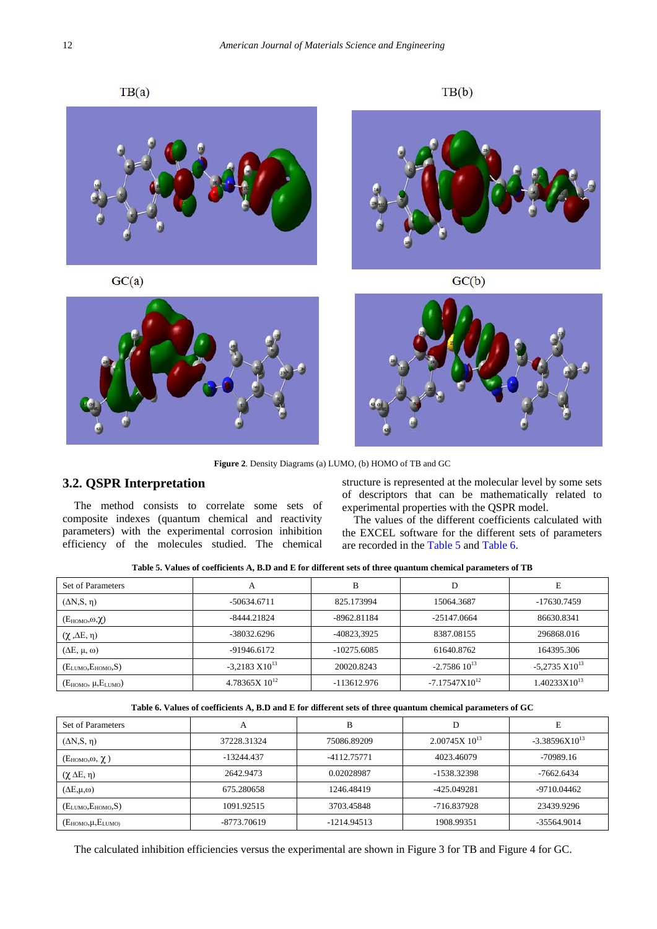$TB(a)$ 

 $TB(b)$ 



**Figure 2**. Density Diagrams (a) LUMO, (b) HOMO of TB and GC

## **3.2. QSPR Interpretation**

The method consists to correlate some sets of composite indexes (quantum chemical and reactivity parameters) with the experimental corrosion inhibition efficiency of the molecules studied. The chemical structure is represented at the molecular level by some sets of descriptors that can be mathematically related to experimental properties with the QSPR model.

The values of the different coefficients calculated with the EXCEL software for the different sets of parameters are recorded in the [Table 5](#page-6-0) and [Table 6.](#page-6-1)

|  | Table 5. Values of coefficients A, B.D and E for different sets of three quantum chemical parameters of TB |  |  |
|--|------------------------------------------------------------------------------------------------------------|--|--|
|--|------------------------------------------------------------------------------------------------------------|--|--|

<span id="page-6-0"></span>

| Set of Parameters           | A                          | в             | D                  | E                        |
|-----------------------------|----------------------------|---------------|--------------------|--------------------------|
| $(\Delta N, S, \eta)$       | $-50634.6711$              | 825.173994    | 15064.3687         | -17630.7459              |
| $(E_{HOMO}, \omega, \chi)$  | $-8444.21824$              | $-8962.81184$ | $-25147.0664$      | 86630.8341               |
| $(\chi, \Delta E, \eta)$    | -38032.6296                | -40823,3925   | 8387.08155         | 296868.016               |
| $(\Delta E, \mu, \omega)$   | -91946.6172                | $-10275.6085$ | 61640.8762         | 164395.306               |
| $(E_{LUMO}, E_{HOMO}, S)$   | $-3.2183 \text{ X}10^{13}$ | 20020.8243    | $-2.758610^{13}$   | $-5,2735 \times 10^{13}$ |
| $(E_{HOMO}, \mu, E_{LUMO})$ | $4.78365X$ $10^{12}$       | $-113612.976$ | $-7.17547X10^{12}$ | $1.40233X10^{13}$        |

|  | Table 6. Values of coefficients A, B.D and E for different sets of three quantum chemical parameters of GC |  |  |
|--|------------------------------------------------------------------------------------------------------------|--|--|
|--|------------------------------------------------------------------------------------------------------------|--|--|

<span id="page-6-1"></span>

| Set of Parameters          | A           | B             | D                    | E                  |
|----------------------------|-------------|---------------|----------------------|--------------------|
| $(\Delta N, S, \eta)$      | 37228.31324 | 75086.89209   | $2.00745X$ $10^{13}$ | $-3.38596X10^{13}$ |
| $(E_{HOMO}, \omega, \chi)$ | -13244.437  | -4112.75771   | 4023.46079           | $-70989.16$        |
| $(\chi \Delta E, \eta)$    | 2642.9473   | 0.02028987    | -1538.32398          | $-7662.6434$       |
| $(\Delta E, \mu, \omega)$  | 675.280658  | 1246.48419    | -425.049281          | -9710.04462        |
| $(E_{LUMO}, E_{HOMO}, S)$  | 1091.92515  | 3703.45848    | -716.837928          | 23439.9296         |
| $(E_{HOMO},\mu,E_{LUMO})$  | -8773.70619 | $-1214.94513$ | 1908.99351           | -35564.9014        |

The calculated inhibition efficiencies versus the experimental are shown in Figure 3 for TB and Figure 4 for GC.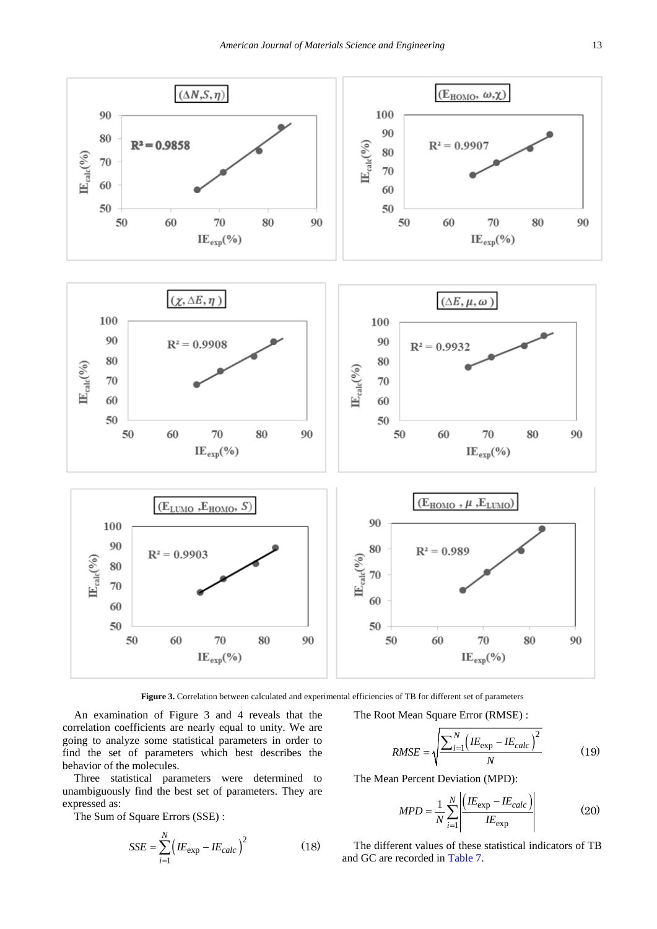

Figure 3. Correlation between calculated and experimental efficiencies of TB for different set of parameters

An examination of Figure 3 and 4 reveals that the correlation coefficients are nearly equal to unity. We are going to analyze some statistical parameters in order to find the set of parameters which best describes the behavior of the molecules.

Three statistical parameters were determined to unambiguously find the best set of parameters. They are expressed as:

The Sum of Square Errors (SSE) :

$$
SSE = \sum_{i=1}^{N} \left( I E_{\text{exp}} - I E_{\text{calc}} \right)^2 \tag{18}
$$

The Root Mean Square Error (RMSE) :

$$
RMSE = \sqrt{\frac{\sum_{i=1}^{N} \left(IE_{\exp} - IE_{calc}\right)^2}{N}}
$$
(19)

The Mean Percent Deviation (MPD):

$$
MPD = \frac{1}{N} \sum_{i=1}^{N} \left| \frac{\left(IE_{\exp} - IE_{calc}\right)}{IE_{\exp}} \right| \tag{20}
$$

The different values of these statistical indicators of TB and GC are recorded in [Table 7.](#page-8-0)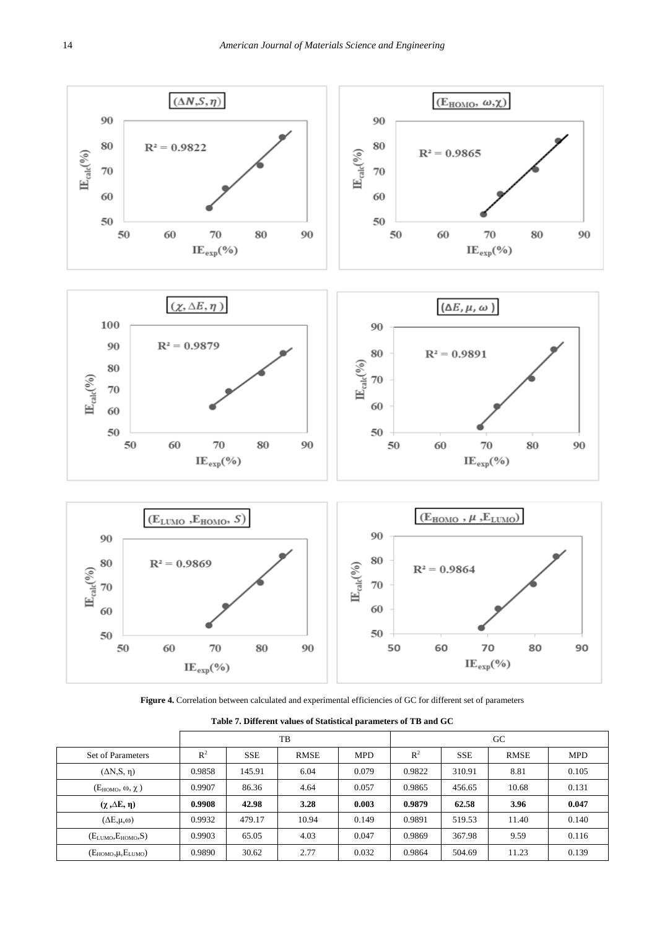

Figure 4. Correlation between calculated and experimental efficiencies of GC for different set of parameters

<span id="page-8-0"></span>

|                             |        | TB         |             |            | GC     |            |             |            |
|-----------------------------|--------|------------|-------------|------------|--------|------------|-------------|------------|
| Set of Parameters           | $R^2$  | <b>SSE</b> | <b>RMSE</b> | <b>MPD</b> | $R^2$  | <b>SSE</b> | <b>RMSE</b> | <b>MPD</b> |
| $(\Delta N, S, \eta)$       | 0.9858 | 145.91     | 6.04        | 0.079      | 0.9822 | 310.91     | 8.81        | 0.105      |
| $(E_{HOMO}, \omega, \chi)$  | 0.9907 | 86.36      | 4.64        | 0.057      | 0.9865 | 456.65     | 10.68       | 0.131      |
| $(\chi, \Delta E, \eta)$    | 0.9908 | 42.98      | 3.28        | 0.003      | 0.9879 | 62.58      | 3.96        | 0.047      |
| $(\Delta E, \mu, \omega)$   | 0.9932 | 479.17     | 10.94       | 0.149      | 0.9891 | 519.53     | 11.40       | 0.140      |
| $(E_{LUMO}, E_{HOMO}, S)$   | 0.9903 | 65.05      | 4.03        | 0.047      | 0.9869 | 367.98     | 9.59        | 0.116      |
| $(E_{HOMO}, \mu, E_{LUMO})$ | 0.9890 | 30.62      | 2.77        | 0.032      | 0.9864 | 504.69     | 11.23       | 0.139      |

**Table 7. Different values of Statistical parameters of TB and GC**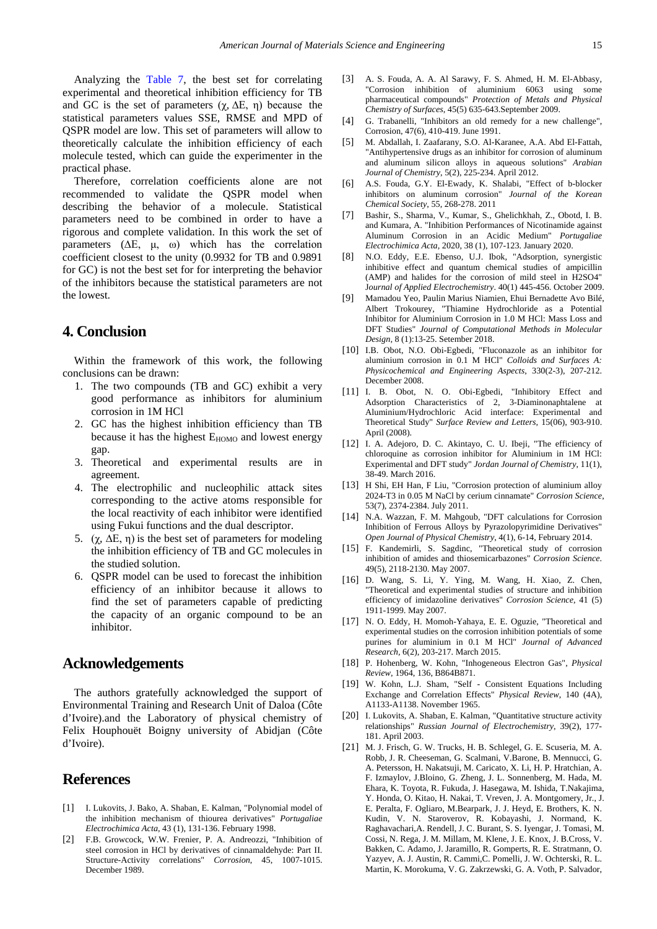Analyzing the [Table 7,](#page-8-0) the best set for correlating experimental and theoretical inhibition efficiency for TB and GC is the set of parameters  $(\chi, \Delta E, \eta)$  because the statistical parameters values SSE, RMSE and MPD of QSPR model are low. This set of parameters will allow to theoretically calculate the inhibition efficiency of each molecule tested, which can guide the experimenter in the practical phase.

Therefore, correlation coefficients alone are not recommended to validate the QSPR model when describing the behavior of a molecule. Statistical parameters need to be combined in order to have a rigorous and complete validation. In this work the set of parameters (∆E, μ, ω) which has the correlation coefficient closest to the unity (0.9932 for TB and 0.9891 for GC) is not the best set for for interpreting the behavior of the inhibitors because the statistical parameters are not the lowest.

## **4. Conclusion**

Within the framework of this work, the following conclusions can be drawn:

- 1. The two compounds (TB and GC) exhibit a very good performance as inhibitors for aluminium corrosion in 1M HCl
- 2. GC has the highest inhibition efficiency than TB because it has the highest E<sub>HOMO</sub> and lowest energy gap.
- 3. Theoretical and experimental results are in agreement.
- 4. The electrophilic and nucleophilic attack sites corresponding to the active atoms responsible for the local reactivity of each inhibitor were identified using Fukui functions and the dual descriptor.
- 5. (γ,  $ΔE$ , η) is the best set of parameters for modeling the inhibition efficiency of TB and GC molecules in the studied solution.
- 6. QSPR model can be used to forecast the inhibition efficiency of an inhibitor because it allows to find the set of parameters capable of predicting the capacity of an organic compound to be an inhibitor.

## **Acknowledgements**

The authors gratefully acknowledged the support of Environmental Training and Research Unit of Daloa (Côte d'Ivoire).and the Laboratory of physical chemistry of Felix Houphouët Boigny university of Abidjan (Côte d'Ivoire).

## **References**

- <span id="page-9-0"></span>[1] I. Lukovits, J. Bako, A. Shaban, E. Kalman, "Polynomial model of the inhibition mechanism of thiourea derivatives" *Portugaliae Electrochimica Acta*, 43 (1), 131-136. February 1998.
- [2] F.B. Growcock, W.W. Frenier, P. A. Andreozzi, "Inhibition of steel corrosion in HCl by derivatives of cinnamaldehyde: Part II. Structure-Activity correlations" *Corrosion*, 45, 1007-1015. December 1989.
- <span id="page-9-1"></span>[3] A. S. Fouda, A. A. Al Sarawy, F. S. Ahmed, H. M. El-Abbasy, "Corrosion inhibition of aluminium 6063 using some pharmaceutical compounds" *Protection of Metals and Physical Chemistry of Surfaces*, 45(5) 635-643.September 2009.
- <span id="page-9-2"></span>[4] G. Trabanelli, "Inhibitors an old remedy for a new challenge", Corrosion, 47(6), 410-419. June 1991.
- <span id="page-9-3"></span>[5] M. Abdallah, I. Zaafarany, S.O. Al-Karanee, A.A. Abd El-Fattah, "Antihypertensive drugs as an inhibitor for corrosion of aluminum and aluminum silicon alloys in aqueous solutions" *Arabian Journal of Chemistry*, 5(2), 225-234. April 2012.
- [6] A.S. Fouda, G.Y. El-Ewady, K. Shalabi, "Effect of b-blocker inhibitors on aluminum corrosion" *Journal of the Korean Chemical Society*, 55, 268-278. 2011
- <span id="page-9-4"></span>[7] Bashir, S., Sharma, V., Kumar, S., Ghelichkhah, Z., Obotd, I. B. and Kumara, A. "Inhibition Performances of Nicotinamide against Aluminum Corrosion in an Acidic Medium" *Portugaliae Electrochimica Acta,* 2020, 38 (1), 107-123. January 2020.
- [8] N.O. Eddy, E.E. Ebenso, U.J. Ibok, "Adsorption, synergistic inhibitive effect and quantum chemical studies of ampicillin (AMP) and halides for the corrosion of mild steel in H2SO4" J*ournal of Applied Electrochemistry*. 40(1) 445-456. October 2009.
- [9] Mamadou Yeo, Paulin Marius Niamien, Ehui Bernadette Avo Bilé, Albert Trokourey, "Thiamine Hydrochloride as a Potential Inhibitor for Aluminium Corrosion in 1.0 M HCl: Mass Loss and DFT Studies" *Journal of Computational Methods in Molecular Design,* 8 (1):13-25. Setember 2018.
- [10] I.B. Obot, N.O. Obi-Egbedi, "Fluconazole as an inhibitor for aluminium corrosion in 0.1 M HCl" *Colloids and Surfaces A: Physicochemical and Engineering Aspects*, 330(2-3), 207-212. December 2008.
- <span id="page-9-5"></span>[11] I. B. Obot, N. O. Obi-Egbedi, "Inhibitory Effect and Adsorption Characteristics of 2, 3-Diaminonaphtalene at Aluminium/Hydrochloric Acid interface: Experimental and Theoretical Study" *Surface Review and Letters,* 15(06), 903-910. April (2008).
- [12] I. A. Adejoro, D. C. Akintayo, C. U. Ibeji, "The efficiency of chloroquine as corrosion inhibitor for Aluminium in 1M HCl: Experimental and DFT study" *Jordan Journal of Chemistry*, 11(1), 38-49. March 2016.
- [13] H Shi, EH Han, F Liu, "Corrosion protection of aluminium alloy 2024-T3 in 0.05 M NaCl by cerium cinnamate" *Corrosion Science*, 53(7), 2374-2384. July 2011.
- <span id="page-9-6"></span>[14] N.A. Wazzan, F. M. Mahgoub, "DFT calculations for Corrosion Inhibition of Ferrous Alloys by Pyrazolopyrimidine Derivatives" *Open Journal of Physical Chemistry*, 4(1), 6-14, February 2014.
- [15] F. Kandemirli, S. Sagdinc, "Theoretical study of corrosion inhibition of amides and thiosemicarbazones" *Corrosion Science*. 49(5), 2118-2130. May 2007.
- [16] D. Wang, S. Li, Y. Ying, M. Wang, H. Xiao, Z. Chen, "Theoretical and experimental studies of structure and inhibition efficiency of imidazoline derivatives" *Corrosion Science*, 41 (5) 1911-1999. May 2007.
- [17] N. O. Eddy, H. Momoh-Yahaya, E. E. Oguzie, "Theoretical and experimental studies on the corrosion inhibition potentials of some purines for aluminium in 0.1 M HCl" *Journal of Advanced Research,* 6(2), 203-217. March 2015.
- <span id="page-9-7"></span>[18] P. Hohenberg, W. Kohn, "Inhogeneous Electron Gas", *Physical Review*, 1964, 136, B864B871.
- <span id="page-9-8"></span>[19] W. Kohn, L.J. Sham, "Self - Consistent Equations Including Exchange and Correlation Effects" *Physical Review*, 140 (4A), A1133-A1138. November 1965.
- <span id="page-9-9"></span>[20] I. Lukovits, A. Shaban, E. Kalman, "Quantitative structure activity relationships" *Russian Journal of Electrochemistry*, 39(2), 177- 181. April 2003.
- <span id="page-9-10"></span>[21] M. J. Frisch, G. W. Trucks, H. B. Schlegel, G. E. Scuseria, M. A. Robb, J. R. Cheeseman, G. Scalmani, V.Barone, B. Mennucci, G. A. Petersson, H. Nakatsuji, M. Caricato, X. Li, H. P. Hratchian, A. F. Izmaylov, J.Bloino, G. Zheng, J. L. Sonnenberg, M. Hada, M. Ehara, K. Toyota, R. Fukuda, J. Hasegawa, M. Ishida, T.Nakajima, Y. Honda, O. Kitao, H. Nakai, T. Vreven, J. A. Montgomery, Jr., J. E. Peralta, F. Ogliaro, M.Bearpark, J. J. Heyd, E. Brothers, K. N. Kudin, V. N. Staroverov, R. Kobayashi, J. Normand, K. Raghavachari,A. Rendell, J. C. Burant, S. S. Iyengar, J. Tomasi, M. Cossi, N. Rega, J. M. Millam, M. Klene, J. E. Knox, J. B.Cross, V. Bakken, C. Adamo, J. Jaramillo, R. Gomperts, R. E. Stratmann, O. Yazyev, A. J. Austin, R. Cammi,C. Pomelli, J. W. Ochterski, R. L. Martin, K. Morokuma, V. G. Zakrzewski, G. A. Voth, P. Salvador,